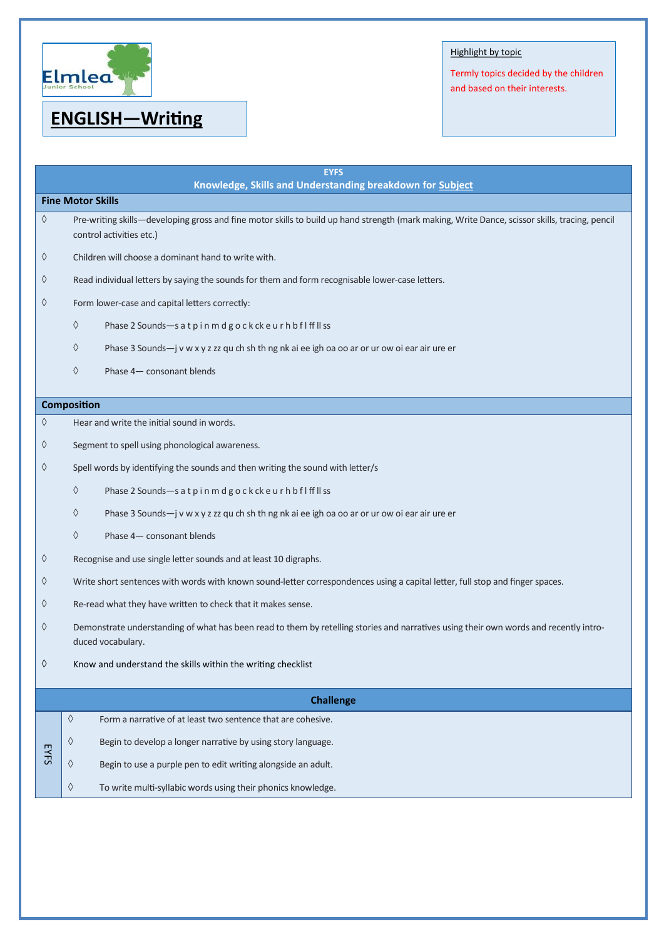

# **ENGLISH—Writing**

## Highlight by topic

Termly topics decided by the children and based on their interests.

| <b>EYFS</b><br>Knowledge, Skills and Understanding breakdown for Subject |                                                                                                                                                                            |  |
|--------------------------------------------------------------------------|----------------------------------------------------------------------------------------------------------------------------------------------------------------------------|--|
| <b>Fine Motor Skills</b>                                                 |                                                                                                                                                                            |  |
| ♦                                                                        | Pre-writing skills-developing gross and fine motor skills to build up hand strength (mark making, Write Dance, scissor skills, tracing, pencil<br>control activities etc.) |  |
| ♦                                                                        | Children will choose a dominant hand to write with.                                                                                                                        |  |
| ♦                                                                        | Read individual letters by saying the sounds for them and form recognisable lower-case letters.                                                                            |  |
| ♦                                                                        | Form lower-case and capital letters correctly:                                                                                                                             |  |
|                                                                          | ♦<br>Phase 2 Sounds-s at pinmdgockckeurhbflffllss                                                                                                                          |  |
|                                                                          | ♦<br>Phase 3 Sounds-j v w x y z zz qu ch sh th ng nk ai ee igh oa oo ar or ur ow oi ear air ure er                                                                         |  |
|                                                                          | ♦<br>Phase 4- consonant blends                                                                                                                                             |  |
|                                                                          | <b>Composition</b>                                                                                                                                                         |  |
| ♦                                                                        | Hear and write the initial sound in words.                                                                                                                                 |  |
| ♦                                                                        | Segment to spell using phonological awareness.                                                                                                                             |  |
| ♦                                                                        | Spell words by identifying the sounds and then writing the sound with letter/s                                                                                             |  |
|                                                                          | ♦<br>Phase 2 Sounds-satpinmdgockckeurhbflffllss                                                                                                                            |  |
|                                                                          | ♦<br>Phase 3 Sounds-j v w x y z zz qu ch sh th ng nk ai ee igh oa oo ar or ur ow oi ear air ure er                                                                         |  |
|                                                                          | ♦<br>Phase 4- consonant blends                                                                                                                                             |  |
| ♦                                                                        | Recognise and use single letter sounds and at least 10 digraphs.                                                                                                           |  |
| ♦                                                                        | Write short sentences with words with known sound-letter correspondences using a capital letter, full stop and finger spaces.                                              |  |
| ♦                                                                        | Re-read what they have written to check that it makes sense.                                                                                                               |  |
| ♦                                                                        | Demonstrate understanding of what has been read to them by retelling stories and narratives using their own words and recently intro-<br>duced vocabulary.                 |  |
| ♦                                                                        | Know and understand the skills within the writing checklist                                                                                                                |  |
| <b>Challenge</b>                                                         |                                                                                                                                                                            |  |
|                                                                          | ♦<br>Form a narrative of at least two sentence that are cohesive.                                                                                                          |  |
|                                                                          | ♦<br>Begin to develop a longer narrative by using story language.                                                                                                          |  |
| <b>EYFS</b>                                                              | ♦<br>Begin to use a purple pen to edit writing alongside an adult.                                                                                                         |  |
|                                                                          | $\Diamond$<br>To write multi-syllabic words using their phonics knowledge.                                                                                                 |  |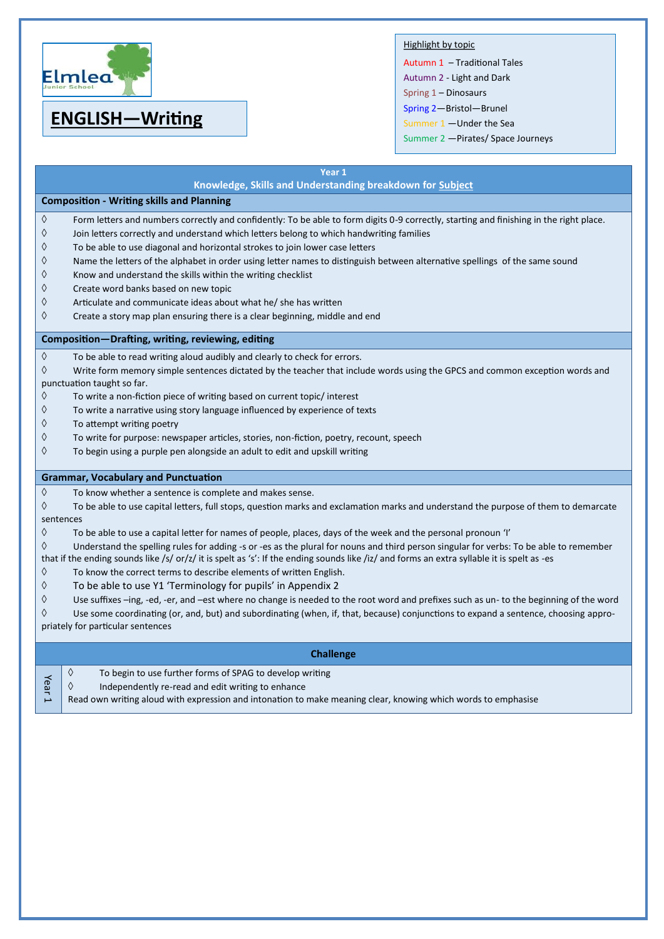

# **ENGLISH—Writing**

## Highlight by topic

Autumn 1 – Traditional Tales Autumn 2 - Light and Dark Spring 1 – Dinosaurs Spring 2—Bristol—Brunel Summer 1 —Under the Sea Summer 2 —Pirates/ Space Journeys

|                                                                                                                                            | Year 1                                                                                                                                                                   |  |
|--------------------------------------------------------------------------------------------------------------------------------------------|--------------------------------------------------------------------------------------------------------------------------------------------------------------------------|--|
|                                                                                                                                            | Knowledge, Skills and Understanding breakdown for Subject                                                                                                                |  |
| <b>Composition - Writing skills and Planning</b>                                                                                           |                                                                                                                                                                          |  |
| ♦                                                                                                                                          | Form letters and numbers correctly and confidently: To be able to form digits 0-9 correctly, starting and finishing in the right place.                                  |  |
| ♦                                                                                                                                          | Join letters correctly and understand which letters belong to which handwriting families                                                                                 |  |
| ♦                                                                                                                                          | To be able to use diagonal and horizontal strokes to join lower case letters                                                                                             |  |
| ♦                                                                                                                                          | Name the letters of the alphabet in order using letter names to distinguish between alternative spellings of the same sound                                              |  |
| ♦                                                                                                                                          | Know and understand the skills within the writing checklist                                                                                                              |  |
| ♦                                                                                                                                          | Create word banks based on new topic                                                                                                                                     |  |
| ♦                                                                                                                                          | Articulate and communicate ideas about what he/ she has written                                                                                                          |  |
| ♦                                                                                                                                          | Create a story map plan ensuring there is a clear beginning, middle and end                                                                                              |  |
| Composition-Drafting, writing, reviewing, editing                                                                                          |                                                                                                                                                                          |  |
| $\Diamond$                                                                                                                                 | To be able to read writing aloud audibly and clearly to check for errors.                                                                                                |  |
| ♦                                                                                                                                          | Write form memory simple sentences dictated by the teacher that include words using the GPCS and common exception words and                                              |  |
| punctuation taught so far.                                                                                                                 |                                                                                                                                                                          |  |
| ♦                                                                                                                                          | To write a non-fiction piece of writing based on current topic/ interest                                                                                                 |  |
| ♦                                                                                                                                          | To write a narrative using story language influenced by experience of texts                                                                                              |  |
| ♦                                                                                                                                          | To attempt writing poetry                                                                                                                                                |  |
| ♦                                                                                                                                          | To write for purpose: newspaper articles, stories, non-fiction, poetry, recount, speech                                                                                  |  |
| ♦                                                                                                                                          | To begin using a purple pen alongside an adult to edit and upskill writing                                                                                               |  |
| <b>Grammar, Vocabulary and Punctuation</b>                                                                                                 |                                                                                                                                                                          |  |
| $\Diamond$                                                                                                                                 | To know whether a sentence is complete and makes sense.                                                                                                                  |  |
| ♦                                                                                                                                          | To be able to use capital letters, full stops, question marks and exclamation marks and understand the purpose of them to demarcate                                      |  |
| sentences                                                                                                                                  |                                                                                                                                                                          |  |
| ♦                                                                                                                                          | To be able to use a capital letter for names of people, places, days of the week and the personal pronoun 'I'                                                            |  |
| ♦                                                                                                                                          | Understand the spelling rules for adding -s or -es as the plural for nouns and third person singular for verbs: To be able to remember                                   |  |
| that if the ending sounds like /s/ or/z/ it is spelt as 's': If the ending sounds like /iz/ and forms an extra syllable it is spelt as -es |                                                                                                                                                                          |  |
| ♦                                                                                                                                          | To know the correct terms to describe elements of written English.                                                                                                       |  |
| ♦                                                                                                                                          | To be able to use Y1 'Terminology for pupils' in Appendix 2                                                                                                              |  |
| ♦                                                                                                                                          | Use suffixes -ing, -ed, -er, and -est where no change is needed to the root word and prefixes such as un- to the beginning of the word                                   |  |
| ♦                                                                                                                                          | Use some coordinating (or, and, but) and subordinating (when, if, that, because) conjunctions to expand a sentence, choosing appro-<br>priately for particular sentences |  |
| <b>Challenge</b>                                                                                                                           |                                                                                                                                                                          |  |
|                                                                                                                                            | $\Diamond$<br>To begin to use further forms of SPAG to develop writing                                                                                                   |  |
| Year                                                                                                                                       | ♦<br>Independently re-read and edit writing to enhance                                                                                                                   |  |
|                                                                                                                                            | Read own writing aloud with expression and intonation to make meaning clear, knowing which words to emphasise                                                            |  |